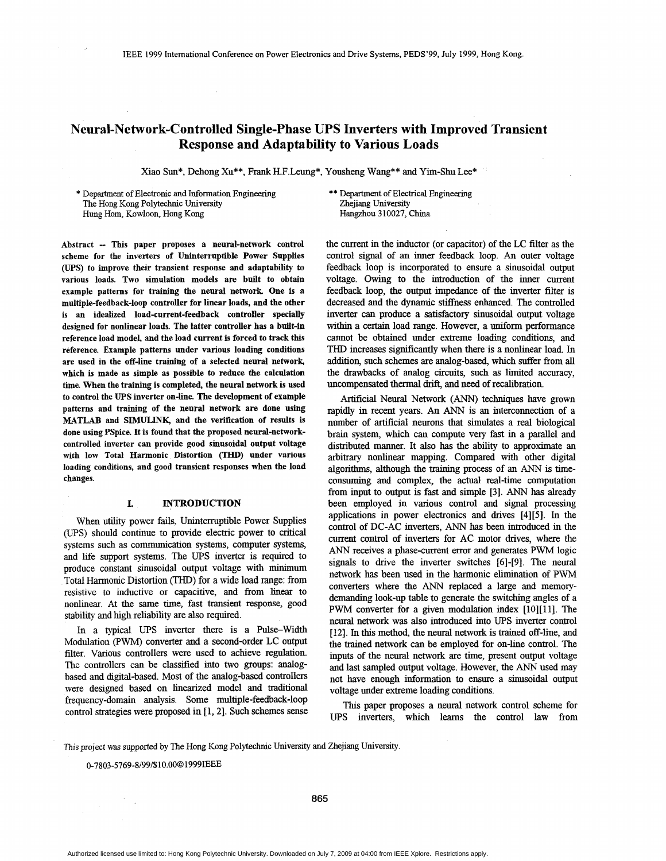# **Neural-Network-Controlled Single-phase UPS Inverters with Improved Transient Response and Adaptability to Various Loads**

Xiao Sun\*, Dehong Xu\*\*, Frank H.F.Leung\*, Yousheng Wang\*\* and Yim-Shu Lee\*

\* Department of Electronic and Information Engineering The Hong Kong Polytechnic University Hung Horn, Kowloon, Hong Kong

\*\* Department of Electrical Engineering Zhejiang University Hangzhou 310027, **China** 

Abstract - This paper proposes a neural-network control scheme for the inverters of Uninterruptible Power Supplies **(UPS)** to improve their transient response and adaptability to various loads. Two simulation models are built to obtain example patterns for training the neural network. One is a multiple-feedback-loop controller for linear loads, and the other **is** an idealized load-current-feedback controller specially designed for nonlinear loads. The latter controller has a built-in reference load model, and the load current is forced to track this reference. Example patterns under various loading conditions are used in the off-line training of a selected neural network, which is made as simple as possible to reduce the calculation time. When the training is completed, the neural network is used to control the *UPS* inverter on-line. The development of example patterns and training of the neural network are done using **MATLAB** and **SIMULINK**, and the verification of results is done using PSpice. It is found that the proposed neural-networkcontrolled inverter can provide good sinusoidal output voltage with low Total Harmonic Distortion (THD) under various loading conditions, and good transient responses when the load changes.

## **I. INTRODUCTION**

When utility power fails, Uninterruptible Power Supplies (UPS) should continue to provide electric power to critical systems such as communication systems, computer systems, and life support systems. The UPS inverter is required to produce constant sinusoidal output voltage with minimum Total Harmonic Distortion (THD) for a wide load range: **from**  resistwe to inductive or capacitive, and from linear to nonlinear. At the same time, fast transient response, good stability and hgh reliability are also required.

In a typical UPS inverter there is a Pulse-Width Modulation (PWM) converter and a second-order LC output filter. Various controllers were used to achieve regulation. The controllers can be classified into two groups: analogbased and dgital-based. Most of the analog-based controllers were designed based on linearized model and traditional frequency-domain analysis. Some multiple-feedback-loop control strategies were proposed in  $[1, 2]$ . Such schemes sense the current in the inductor (or capacitor) of the LC filter **as** the control signal of **an** inner feedback loop. An outer voltage feedback loop is incorporated to ensure a sinusoidal output voltage. Owing to the introduction of the inner current feedback loop, the output impedance of the inverter filter is decreased and the dynamic stiffness enhanced. The controlled inverter can produce a satisfactory sinusoidal output voltage within a certain load range. However, a uniform performance cannot be obtained under extreme loading conditions, and THD increases sigmficantly when there is a nonlinear load. In addition, such schemes are analog-based, which suffer from **all**  the drawbacks of analog circuits, such **as** limited accuracy, uncompensated thermal **drift,** and need of recalibration.

Artificial Neural Network *(ANN)* techniques have grown rapidly in recent years. An *ANN* is an interconnection of a number of artificial neurons that simulates a real biological brain system, which can compute very fast in a parallel and distributed manner. It also has the ability to approximate an arbitrary nonlinear mapping. Compared with other **digtal**  algorithms, although the training process of an *ANN* is timeconsuming and complex, the actual real-time computation from input to output **is** fast and simple [3]. *ANN* has already been employed in various control and *signal* processing applications in power electronics and dnves **[4][5].** In the control of DC-AC inverters, *ANN* has been introduced in the current control of inverters for AC motor drives, where the *ANN* receives a phase-current error and generates PWM logic signals to drive the inverter switches [6]-[9]. The neural network has been used in the harmonic elimination of PWM converters where the ANN replaced a large and memorydemanding look-up table to generate the switching angles of **a**  PWM converter for a given modulation index [10][11]. The neural network was also introduced into UPS inverter control [ 121. In **this** method, the neural network is trained off-line, and the trained network can be employed for on-line control. The inputs **of** the neural network are time, present output voltage and last sampled output voltage. However, the ANN used may not have enough information to ensure a sinusoidal output voltage under extreme loading conditions.

**This** paper proposes **a** neural network control scheme for UPS inverters, which leams the control law from

This project was supported by The Hong Kong Polytechnic University and Zhejiang University.

**o-7803-5769-8/99~\$10.000** 1999IEEE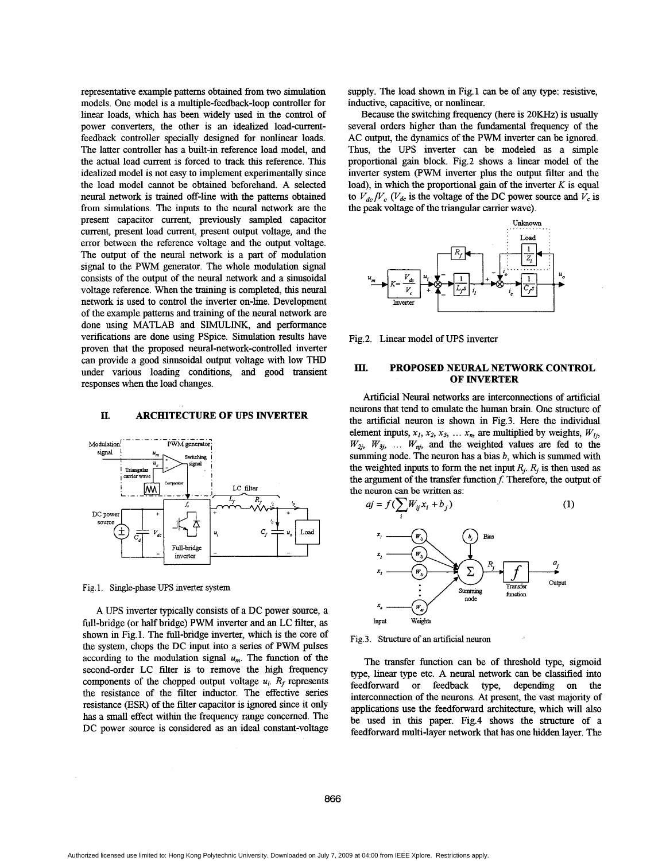<span id="page-1-0"></span>representative example patterns obtained from two simulation models. One model is a multiple-feedback-loop controller for linear loads, which has been widely used in the control of power converters, the other is an idealized load-currentfeedback controller specially designed for nonlinear loads. The latter controller has a built-in reference load model, and the actual load current is forced to track this reference. This idealized model is not easy to implement experimentally since the load model cannot be obtained beforehand. A selected neural network is trained off-line with the patterns obtained from simulations. The inputs to the neural network are the present capacitor current, previously sampled capacitor current, present load current, present output voltage, and the error between the reference voltage and the output voltage. The output of the neural network is a part of modulation signal to the PWM generator. The whole modulation signal consists of the output of the neural network and a sinusoidal voltage reference. When the training is completed, this neural network is used to control the inverter on-line. Development of the example patterns and training of the neural network are done using MATLAB and SIMULINK, and performance verifications are done using PSpice. Simulation results have proven that the proposed **neural-network-controlled** inverter can provide a good sinusoidal output voltage with low THD under various loading conditions, and good transient responses when the load changes.

#### **II. ARCHITECTURE OF** *UPS* **INVERTER**



Fig. 1. Single-phase *UPS* inverter system

A UPS inverter typically consists of a DC power source, a full-bridge (or half bridge) PWM inverter and **an** LC filter, as shown in Fig. 1. The full-bridge inverter, which is the core of the system, chops the DC input into a series of PWM pulses according to the modulation signal  $u_m$ . The function of the second-order LC filter is to remove the high frequency components of the chopped output voltage  $u_i$ .  $R_f$  represents the resistance of the filter inductor. The effective series resistance (ESR) of the filter capacitor is ignored since it only **has** a small effect withm the frequency range concerned. The DC power source is considered as an ideal constant-voltage supply. The load shown in Fig.1 can be of any type: resistive, inductive, capacitive, or nonlinear.

Because the switching frequency (here is 20KHz) is usually several orders higher than the fundamental frequency of the AC output, the dynamics of the PWM inverter can be ignored. Thus, the UPS inverter can be modeled as a simple proportional gain block. Fig.2 shows a linear model of the inverter system (PWM inverter plus the output filter and the load), in which the proportional gain of the inverter *K* is equal to  $V_{dc}/V_c$  ( $V_{dc}$  is the voltage of the DC power source and  $V_c$  is the peak voltage of the triangular carrier wave).



Fig.2. Linear model of *UPS* inverter

### III. **PROPOSED NEURAL NETWORK CONTROL OF INVERTER**

Artificial Neural networks are interconnections of artificial neurons that tend to emulate the human brain. One structure of the artificial neuron is shown in Fig.3. Here the individual element inputs,  $x_1, x_2, x_3, \ldots, x_n$ , are multiplied by weights,  $W_{1i}$ ,  $W_{2j}$ ,  $W_{3j}$ , ...  $W_{nj}$ , and the weighted values are fed to the summing node. The neuron has a bias *b*, which is summed with the weighted inputs to form the net input  $R_i$ .  $R_j$  is then used as the argument of the transfer function  $f$ . Therefore, the output of the neuron can **be** written **as:** 



Fig. **3.** Structure of **an** artificial neuron

The transfer function can be of threshold type, sigmoid type, linear type etc. A neural network can be classified into feedforward or feedback type, depending on the interconnection of the neurons. At present, the vast majority of applications use the feedforward archtecture, which will also be used in this paper. Fig.4 shows the structure of a feedforward multi-layer network that has one hidden layer. The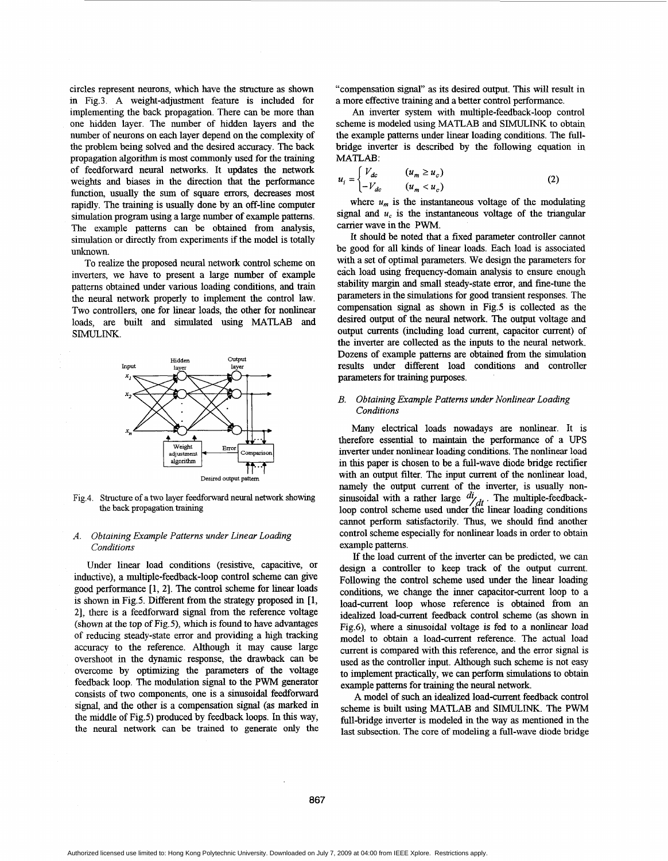circles represent neurons, which have the structure **as** shown in Fig.3. **A** weight-adjustment feature is included for implementing the back propagation. There can be more than one hidden layer. The number of hidden layers and the number of neurons on each layer depend on the complexity of the problem being solved and the desired accuracy. The back propagation algorifhm is most commonly used for the training of feedforward neural networks. It updates the network weights and biases in the direction that the performance function, usually the sum of square errors, decreases most rapidly. The training is usually done by an off-line computer simulation program using a large number of example patterns. The example patterns can be obtained from analysis, simulation or directly from experiments if the model is totally unknown.

To realize the proposed neural network control scheme on inverters, we have to present a large number **of** example patterns obtained under various loading conditions, and train the neural network properly to implement the control law. Two controllers, one for linear loads, the other for nonlinear loads, are built and simulated using MATLAB and SIMULINK.



Fig.4. Structure of a two layer feedforward neural network showing **the** back propagation training

### *A. Obtaining Example Patterns under Linear Loading Conditions*

Under linear load conditions (resistive, capacitive, or inductive), a multiple-feedback-loop control scheme can give good performance [1, 2]. The control scheme for linear loads is shown in Fig.5. Different from the strategy proposed in **[l,**  21, there is a feedforward signal from the reference voltage (shown at the top of Fig.5), which is found to have advantages of reducing steady-state error and providing a **high** tracking accuracy to the reference. Although it may cause large overshoot in the dynamic response, the drawback can be overcome by optimizing the parameters of the voltage feedback loop. The modulation signal to the PWM generator consists of two components, one is a sinusoidal feedforward signal, and the other is a compensation signal **(as** marked in the middle of Fig.5) produced by feedback loops. In **this** way, the neural network can be trained to generate only the

"compensation signal" as its desired output. This will result in a more effective **training** and a better control performance.

An inverter system with multiple-feedback-loop control scheme is modeled using MATLAB and SIMULINK to obtain the example patterns under linear loading conditions. The fullbridge inverter is described by the following equation in MATLAB:

$$
u_i = \begin{cases} V_{dc} & (u_m \ge u_c) \\ -V_{dc} & (u_m < u_c) \end{cases} \tag{2}
$$

where  $u_m$  is the instantaneous voltage of the modulating signal and  $u_c$  is the instantaneous voltage of the triangular carrier wave in the **PWM.** 

It should be noted that a fixed parameter controller cannot be good for all kinds of linear loads. Each load is associated with a set of optimal parameters. We design the parameters for each load using fiequency-domain analysis to ensure enough stability margin and small steady-state error, and fine-tune the parameters in the simulations for good transient responses. The compensation signal **as** shown in Fig.5 is collected as the desired output of the neural network. The output voltage and output currents (including load current, capacitor current) of the inverter are collected as the inputs to the neural network. Dozens of example patterns are obtained from the simulation results under different load conditions and controller parameters for training purposes.

#### *B. Obtaining Example Patterns under Nonlinear Loading Conditions*

Many electrical loads nowadays are nonlinear. It is therefore essential to maintain the performance of a *UPS*  inverter under nonlinear **loading** conditions. The nonlinear load in this paper is chosen to be a full-wave diode bridge rectifier with an output filter. The input current of the nonlinear load, namely the output current of the inverter, is usually nonsinusoidal with a rather large  $\frac{di}{dt}$ . The multiple-feedbackloop control scheme used under the linear loading conditions cannot perform satisfactonly. Thus, we should find another control scheme especially for nonlinear loads in order to obtain example patterns.

If the load current of the inverter can be predicted, we can design a controller to keep track **of** the output current. Following the control scheme used under the linear loading conditions, we change the inner capacitor-current loop to a load-current loop whose reference **is** obtained from **an**  idealized load-current feedback control scheme (as shown in Fig.6), where a sinusoidal voltage is fed to a nonlinear load model to obtain a load-current reference. The actual load current is compared with this reference, and the error signal is used as the controller input. Although such scheme is not easy to implement practically, we *can* perform simulations to obtain example patterns for training the neural network.

**A** model of such an idealized load-current feedback control scheme is built using MATLAE? and **SIMULINK.** The PWM full-bridge inverter is modeled in the way as mentioned in the last subsection. The core of modeling a full-wave diode bridge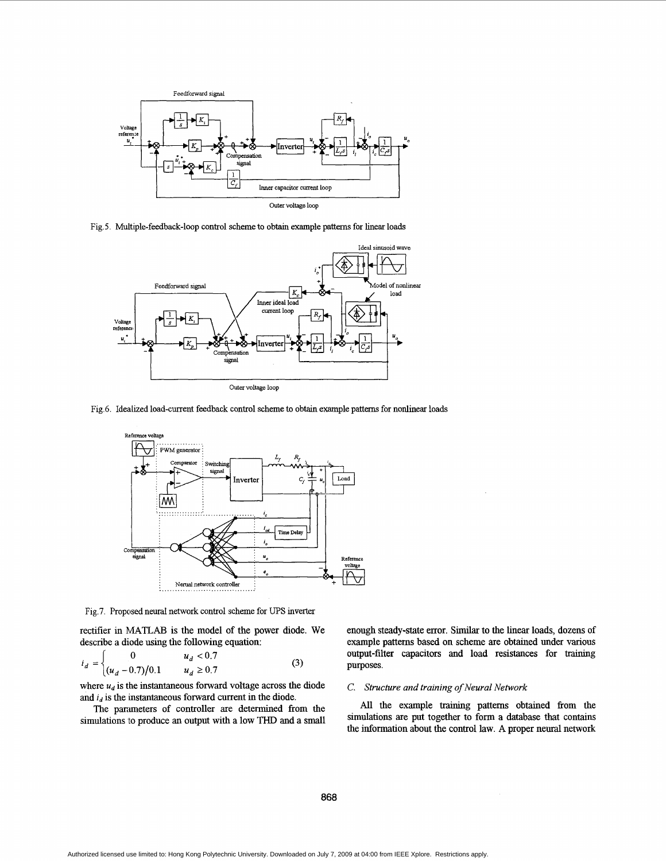

Fig. 5. Multiple-feedback-loop control scheme to obtain example **patterns** for linear loads



Fig.6. Idealized load-current feedback control scheme to obtain example patterns for nonlinear loads



Fig.7. Proposed neural network control scheme for UPS inverter

rectifier in MATLAB is the model of the power diode. We describe a diode using the following equation:

$$
i_d = \begin{cases} 0 & u_d < 0.7 \\ (u_d - 0.7)/0.1 & u_d \ge 0.7 \end{cases}
$$
 (3) Suppose.

where  $u_d$  is the instantaneous forward voltage across the diode and  $i_d$  is the instantaneous forward current in the diode.

The parameters of controller are determined from the simulations to produce an output with a low THD and a

enough steady-state error. **Similar** to the linear loads, dozens **of**  example patterns based on scheme are obtained under various output-filter capacitors and load resistances for training

#### *C. swchre and training of Neural Network*

All the example training patterns obtained from the simulations are put together to form a database that contains the information about the control law. A proper neural network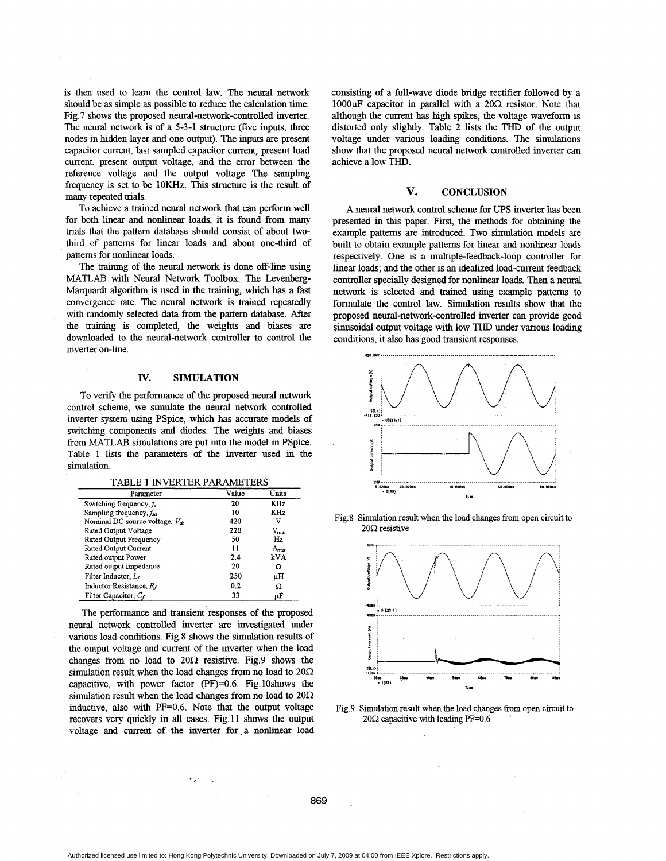is then used to learn the control law. The neural network should be as simple **as** possible to reduce the calculation time. Fig.7 shows the proposed neural-network-controlled inverter. The neural network is of a 5-3-1 structure (five inputs, three nodes **in** hdden layer and one output). The inputs are present capacitor current, last sampled capacitor current, present load current, present output voltage, and the error between the reference voltage and the output voltage The sampling frequency is set to be 1OKHz. This structure is the result of many repeated trials.

To achieve a trained neural network that can perform well for both linear and nonlinear loads, it is found from many trials that the pattern database should consist **of** about twothird of patterns for linear loads and about one-third of patterns for nonlinear loads.

The **training** of the neural network is done off-line using MATLAB with Neural Network Toolbox. The Levenberg-Marquardt algorithm is used in the training, which **has** a fast convergence rate. The neural network is trained repeatedly with randomly selected data from the pattern database. After the training is completed, the weights and biases are downloaded to the neural-network controller to control the inverter on-line.

## **Iv. SIMULATION**

To venfy the performance of the proposed neural network control scheme, we simulate the neural network controlled inverter system using PSpice, which has accurate models of switching components and diodes. The weights and biases from MATLAB simulations are put into the model in PSpice. Table 1 lists the parameters of the inverter used in the simulation.

TABLE 1 INVERTER PARAMETERS

| Parameter                           | Value | Units           |
|-------------------------------------|-------|-----------------|
| Switching frequency, $f_s$          | 20    | <b>KHz</b>      |
| Sampling frequency, $f_{sa}$        | 10    | KH <sub>z</sub> |
| Nominal DC source voltage, $V_{dc}$ | 420   | v               |
| Rated Output Voltage                | 220   | $\rm{V_{rms}}$  |
| Rated Output Frequency              | 50    | Hz.             |
| Rated Output Current                | 11    | $A_{\rm rms}$   |
| Rated output Power                  | 2.4   | kVA             |
| Rated output impedance              | 20    | Ω               |
| Filter Inductor, L <sub>f</sub>     | 250   | uН              |
| Inductor Resistance, R,             | 0.2   | Ω               |
| Filter Capacitor, Cr                | 33    | μF              |

The performance and transient responses of the proposed neural network controlled inverter are investigated under various load conditions. Fig.8 shows the simulation results of the output voltage and current of the inverter when the load changes from no load to  $20\Omega$  resistive. Fig.9 shows the simulation result when the load changes from no load to  $20\Omega$ capacitive, with power factor  $(PF)=0.6$ . Fig. 10shows the simulation result when the load changes from no load to  $20\Omega$ inductive, also with PF=0.6. Note that the output voltage recovers very quickly in all cases. Fig.11 shows the output voltage and current of the inverter for a nonlinear load consisting of a full-wave diode bridge rectifier followed by a 1000 $\mu$ F capacitor in parallel with a 20 $\Omega$  resistor. Note that although the current has high spikes, the voltage waveform is distorted only slightly. Table 2 lists the THD of the output voltage under various loading conditions. The simulations show that the proposed neural network controlled inverter can achieve a low THD.

## **V. CONCLUSION**

**A** neural network control scheme for UPS inverter has been presented in this paper. First, the methods for obtaining the example patterns are introduced. Two simulation models are built to obtain example patterns for linear and nonlinear loads respectively. One is a multiple-feedback-loop controller for linear loads; and the other is an idealized load-current feedback controller specially designed for nonlinear loads. Then a neural network is selected and trained using example pattems to formulate the control law. Simulation results show that the proposed neural-network-controlled inverter can provide good sinusoidal output voltage with low THD under various loading conditions, it also has good transient responses.



Fig.8 Simulation result when the load changes from open circuit to  $20\Omega$  resistive



Fig.9 Simulation result when the load changes from open circuit to  $20\Omega$  capacitive with leading PF=0.6